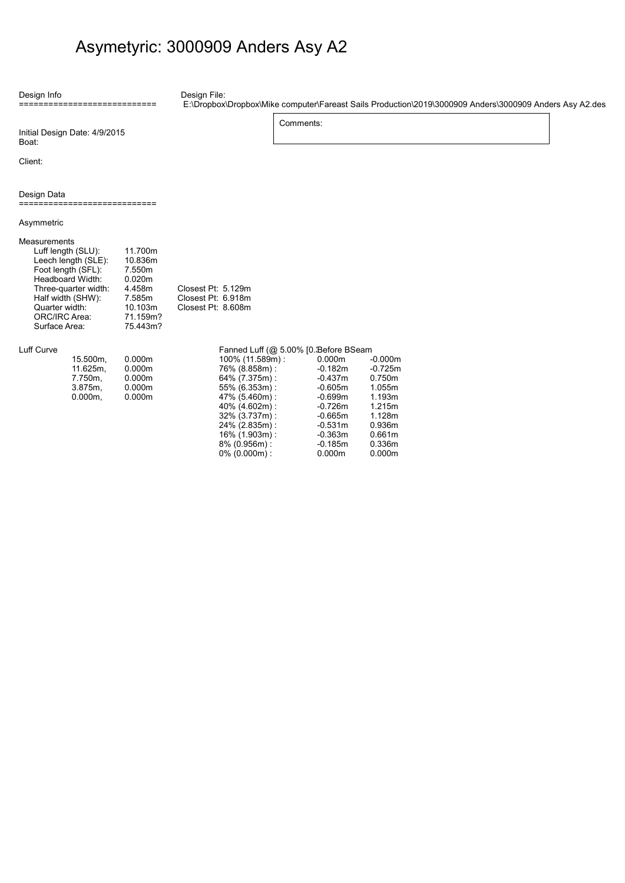## Asymetyric: 3000909 Anders Asy A2

Design File: E:\Dropbox\Dropbox\Mike computer\Fareast Sails Production\2019\3000909 Anders\3000909 Anders Asy A2.des

Initial Design Date: 4/9/2015 Boat:

Client:

Design Data

Design Info

....<br>:=====================

============================

Asymmetric

| Measurements<br>Luff length (SLU):<br>Leech length (SLE):<br>Foot length (SFL):<br>Headboard Width:<br>Three-quarter width:<br>Half width (SHW):<br>Quarter width: | 11.700m<br>10.836m<br>7.550m<br>0.020m<br>4.458m<br>7.585m<br>10.103m | Closest Pt: 5.129m<br>Closest Pt: 6.918m<br>Closest Pt: 8.608m |  |
|--------------------------------------------------------------------------------------------------------------------------------------------------------------------|-----------------------------------------------------------------------|----------------------------------------------------------------|--|
| ORC/IRC Area:<br>Surface Area:                                                                                                                                     | 71.159m?<br>75.443m?                                                  |                                                                |  |

## Luff Curve

| 15.500m.   | 0.000m |
|------------|--------|
| 11.625m.   | 0.000m |
| 7.750m.    | 0.000m |
| 3.875m     | 0.000m |
| $0.000m$ , | 0.000m |

## Fanned Luff (@ 5.00% [0. Before BSeam

Comments:

| 100% (11.589m): | 0.000m    | $-0.000m$ |
|-----------------|-----------|-----------|
| 76% (8.858m):   | $-0.182m$ | $-0.725m$ |
| 64% (7.375m):   | $-0.437m$ | 0.750m    |
| 55% (6.353m):   | $-0.605m$ | 1.055m    |
| 47% (5.460m):   | $-0.699m$ | 1.193m    |
| 40% (4.602m):   | $-0.726m$ | 1.215m    |
| 32% (3.737m):   | $-0.665m$ | 1.128m    |
| 24% (2.835m):   | $-0.531m$ | 0.936m    |
| 16% (1.903m):   | $-0.363m$ | 0.661m    |
| 8% (0.956m):    | $-0.185m$ | 0.336m    |
| $0\%$ (0.000m): | 0.000m    | 0.000m    |
|                 |           |           |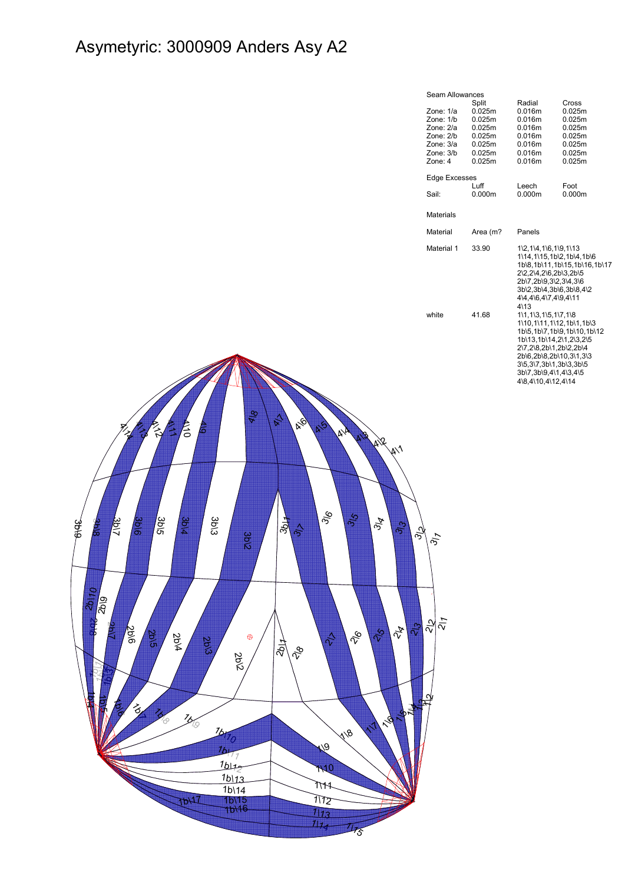## Asymetyric: 3000909 Anders Asy A2